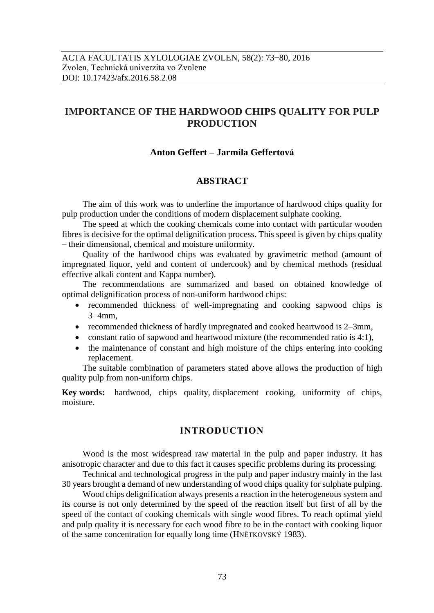# **IMPORTANCE OF THE HARDWOOD CHIPS QUALITY FOR PULP PRODUCTION**

### **Anton Geffert – Jarmila Geffertová**

### **ABSTRACT**

The aim of this work was to underline the importance of hardwood chips quality for pulp production under the conditions of modern displacement sulphate cooking.

The speed at which the cooking chemicals come into contact with particular wooden fibres is decisive for the optimal delignification process. This speed is given by chips quality – their dimensional, chemical and moisture uniformity.

Quality of the hardwood chips was evaluated by gravimetric method (amount of impregnated liquor, yeld and content of undercook) and by chemical methods (residual effective alkali content and Kappa number).

The recommendations are summarized and based on obtained knowledge of optimal delignification process of non-uniform hardwood chips:

- recommended thickness of well-impregnating and cooking sapwood chips is  $3-4$ mm.
- recommended thickness of hardly impregnated and cooked heartwood is 2–3mm,
- constant ratio of sapwood and heartwood mixture (the recommended ratio is 4:1),
- the maintenance of constant and high moisture of the chips entering into cooking replacement.

The suitable combination of parameters stated above allows the production of high quality pulp from non-uniform chips.

**Key words:** hardwood, chips quality, displacement cooking, uniformity of chips, moisture.

### **INTRODUCTION**

Wood is the most widespread raw material in the pulp and paper industry. It has anisotropic character and due to this fact it causes specific problems during its processing.

Technical and technological progress in the pulp and paper industry mainly in the last 30 years brought a demand of new understanding of wood chips quality for sulphate pulping.

Wood chips delignification always presents a reaction in the heterogeneous system and its course is not only determined by the speed of the reaction itself but first of all by the speed of the contact of cooking chemicals with single wood fibres. To reach optimal yield and pulp quality it is necessary for each wood fibre to be in the contact with cooking liquor of the same concentration for equally long time (HNĚTKOVSKÝ 1983).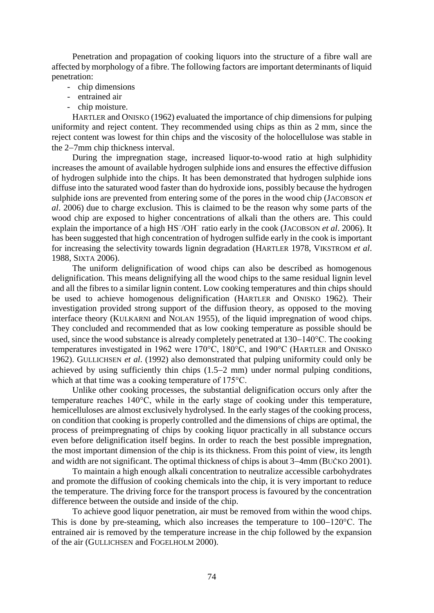Penetration and propagation of cooking liquors into the structure of a fibre wall are affected by morphology of a fibre. The following factors are important determinants of liquid penetration:

- chip dimensions
- entrained air
- chip moisture.

HARTLER and ONISKO (1962) evaluated the importance of chip dimensions for pulping uniformity and reject content. They recommended using chips as thin as 2 mm, since the reject content was lowest for thin chips and the viscosity of the holocellulose was stable in the 2–7mm chip thickness interval.

During the impregnation stage, increased liquor-to-wood ratio at high sulphidity increases the amount of available hydrogen sulphide ions and ensures the effective diffusion of hydrogen sulphide into the chips. It has been demonstrated that hydrogen sulphide ions diffuse into the saturated wood faster than do hydroxide ions, possibly because the hydrogen sulphide ions are prevented from entering some of the pores in the wood chip (JACOBSON *et al*. 2006) due to charge exclusion. This is claimed to be the reason why some parts of the wood chip are exposed to higher concentrations of alkali than the others are. This could explain the importance of a high HS<sup>-</sup>/OH<sup>-</sup> ratio early in the cook (JACOBSON *et al.* 2006). It has been suggested that high concentration of hydrogen sulfide early in the cook is important for increasing the selectivity towards lignin degradation (HARTLER 1978, VIKSTROM *et al*. 1988, SIXTA 2006).

The uniform delignification of wood chips can also be described as homogenous delignification. This means delignifying all the wood chips to the same residual lignin level and all the fibres to a similar lignin content. Low cooking temperatures and thin chips should be used to achieve homogenous delignification (HARTLER and ONISKO 1962). Their investigation provided strong support of the diffusion theory, as opposed to the moving interface theory (KULKARNI and NOLAN 1955), of the liquid impregnation of wood chips. They concluded and recommended that as low cooking temperature as possible should be used, since the wood substance is already completely penetrated at  $130-140^{\circ}$ C. The cooking temperatures investigated in 1962 were 170°C, 180°C, and 190°C (HARTLER and ONISKO 1962). GULLICHSEN *et al*. (1992) also demonstrated that pulping uniformity could only be achieved by using sufficiently thin chips  $(1.5-2 \text{ mm})$  under normal pulping conditions, which at that time was a cooking temperature of 175°C.

Unlike other cooking processes, the substantial delignification occurs only after the temperature reaches 140°C, while in the early stage of cooking under this temperature, hemicelluloses are almost exclusively hydrolysed. In the early stages of the cooking process, on condition that cooking is properly controlled and the dimensions of chips are optimal, the process of preimpregnating of chips by cooking liquor practically in all substance occurs even before delignification itself begins. In order to reach the best possible impregnation, the most important dimension of the chip is its thickness. From this point of view, its length and width are not significant. The optimal thickness of chips is about 3–4mm (BUČKO 2001).

To maintain a high enough alkali concentration to neutralize accessible carbohydrates and promote the diffusion of cooking chemicals into the chip, it is very important to reduce the temperature. The driving force for the transport process is favoured by the concentration difference between the outside and inside of the chip.

To achieve good liquor penetration, air must be removed from within the wood chips. This is done by pre-steaming, which also increases the temperature to  $100-120^{\circ}$ C. The entrained air is removed by the temperature increase in the chip followed by the expansion of the air (GULLICHSEN and FOGELHOLM 2000).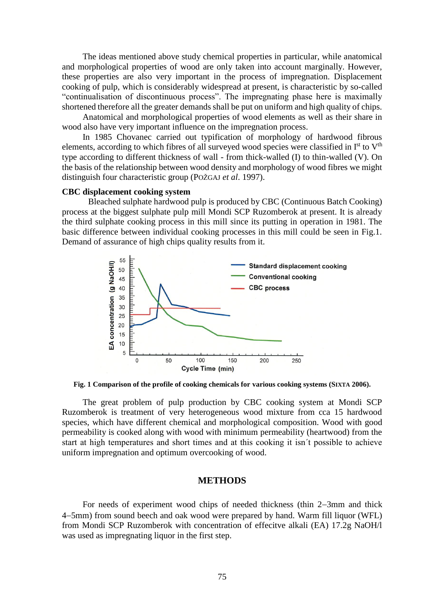The ideas mentioned above study chemical properties in particular, while anatomical and morphological properties of wood are only taken into account marginally. However, these properties are also very important in the process of impregnation. Displacement cooking of pulp, which is considerably widespread at present, is characteristic by so-called "continualisation of discontinuous process". The impregnating phase here is maximally shortened therefore all the greater demands shall be put on uniform and high quality of chips.

Anatomical and morphological properties of wood elements as well as their share in wood also have very important influence on the impregnation process.

In 1985 Chovanec carried out typification of morphology of hardwood fibrous elements, according to which fibres of all surveyed wood species were classified in I<sup>st</sup> to V<sup>th</sup> type according to different thickness of wall - from thick-walled (I) to thin-walled (V). On the basis of the relationship between wood density and morphology of wood fibres we might distinguish four characteristic group (POŽGAJ *et al*. 1997).

#### **CBC displacement cooking system**

Bleached sulphate hardwood pulp is produced by CBC (Continuous Batch Cooking) process at the biggest sulphate pulp mill Mondi SCP Ruzomberok at present. It is already the third sulphate cooking process in this mill since its putting in operation in 1981. The basic difference between individual cooking processes in this mill could be seen in Fig.1. Demand of assurance of high chips quality results from it.



**Fig. 1 Comparison of the profile of cooking chemicals for various cooking systems (SIXTA 2006).**

The great problem of pulp production by CBC cooking system at Mondi SCP Ruzomberok is treatment of very heterogeneous wood mixture from cca 15 hardwood species, which have different chemical and morphological composition. Wood with good permeability is cooked along with wood with minimum permeability (heartwood) from the start at high temperatures and short times and at this cooking it isn´t possible to achieve uniform impregnation and optimum overcooking of wood.

#### **METHODS**

For needs of experiment wood chips of needed thickness (thin 2-3mm and thick 45mm) from sound beech and oak wood were prepared by hand. Warm fill liquor (WFL) from Mondi SCP Ruzomberok with concentration of effecitve alkali (EA) 17.2g NaOH/l was used as impregnating liquor in the first step.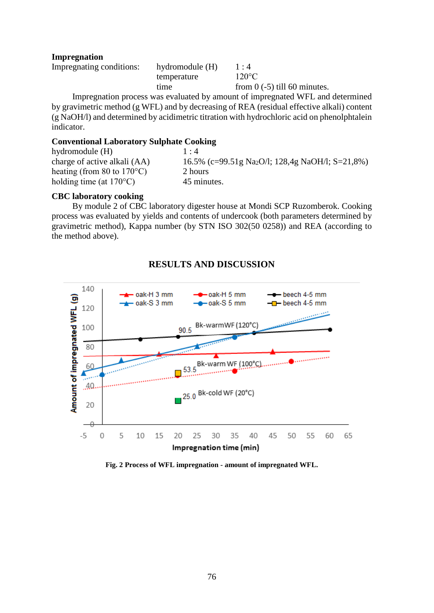### **Impregnation**

| Impregnating conditions: | hydromodule (H) | 1:4                            |
|--------------------------|-----------------|--------------------------------|
|                          | temperature     | $120^{\circ}$ C                |
|                          | time            | from $0$ (-5) till 60 minutes. |

Impregnation process was evaluated by amount of impregnated WFL and determined by gravimetric method (g WFL) and by decreasing of REA (residual effective alkali) content (g NaOH/l) and determined by acidimetric titration with hydrochloric acid on phenolphtalein indicator.

### **Conventional Laboratory Sulphate Cooking**

| hydromodule (H)                      | $1 \cdot 4$                                                  |
|--------------------------------------|--------------------------------------------------------------|
| charge of active alkali (AA)         | 16.5% (c=99.51g Na <sub>2</sub> O/l; 128,4g NaOH/l; S=21,8%) |
| heating (from 80 to $170^{\circ}$ C) | 2 hours                                                      |
| holding time (at $170^{\circ}$ C)    | 45 minutes.                                                  |
|                                      |                                                              |

### **CBC laboratory cooking**

By module 2 of CBC laboratory digester house at Mondi SCP Ruzomberok. Cooking process was evaluated by yields and contents of undercook (both parameters determined by gravimetric method), Kappa number (by STN ISO 302(50 0258)) and REA (according to the method above).

## **RESULTS AND DISCUSSION**



**Fig. 2 Process of WFL impregnation - amount of impregnated WFL.**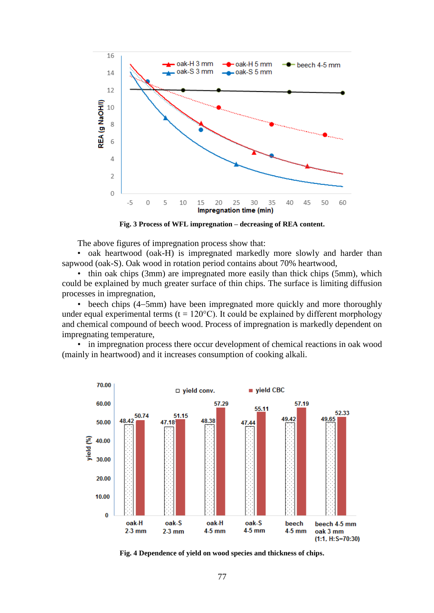

**Fig. 3 Process of WFL impregnation – decreasing of REA content.**

The above figures of impregnation process show that:

• oak heartwood (oak-H) is impregnated markedly more slowly and harder than sapwood (oak-S). Oak wood in rotation period contains about 70% heartwood,

• thin oak chips (3mm) are impregnated more easily than thick chips (5mm), which could be explained by much greater surface of thin chips. The surface is limiting diffusion processes in impregnation,

• beech chips (4–5mm) have been impregnated more quickly and more thoroughly under equal experimental terms ( $t = 120^{\circ}$ C). It could be explained by different morphology and chemical compound of beech wood. Process of impregnation is markedly dependent on impregnating temperature,

• in impregnation process there occur development of chemical reactions in oak wood (mainly in heartwood) and it increases consumption of cooking alkali.



**Fig. 4 Dependence of yield on wood species and thickness of chips.**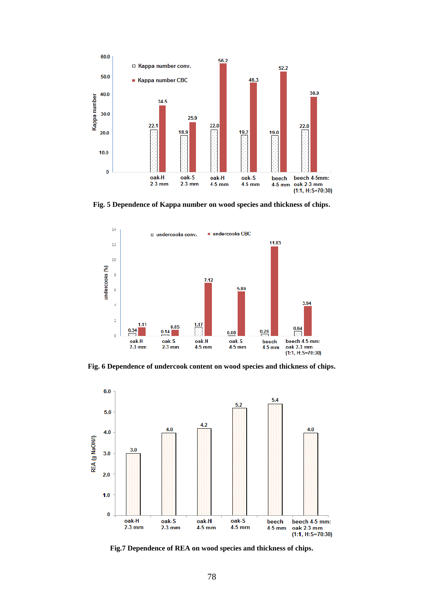

**Fig. 5 Dependence of Kappa number on wood species and thickness of chips.**



**Fig. 6 Dependence of undercook content on wood species and thickness of chips.**



**Fig.7 Dependence of REA on wood species and thickness of chips.**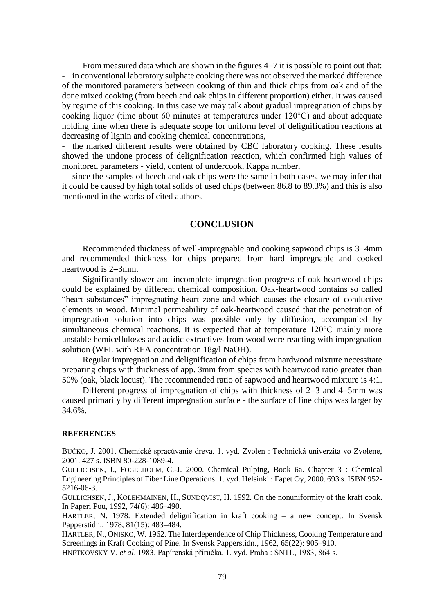From measured data which are shown in the figures  $4-7$  it is possible to point out that: - in conventional laboratory sulphate cooking there was not observed the marked difference of the monitored parameters between cooking of thin and thick chips from oak and of the done mixed cooking (from beech and oak chips in different proportion) either. It was caused by regime of this cooking. In this case we may talk about gradual impregnation of chips by cooking liquor (time about 60 minutes at temperatures under 120°C) and about adequate holding time when there is adequate scope for uniform level of delignification reactions at decreasing of lignin and cooking chemical concentrations,

the marked different results were obtained by CBC laboratory cooking. These results showed the undone process of delignification reaction, which confirmed high values of monitored parameters - yield, content of undercook, Kappa number,

- since the samples of beech and oak chips were the same in both cases, we may infer that it could be caused by high total solids of used chips (between 86.8 to 89.3%) and this is also mentioned in the works of cited authors.

#### **CONCLUSION**

Recommended thickness of well-impregnable and cooking sapwood chips is 3–4mm and recommended thickness for chips prepared from hard impregnable and cooked heartwood is  $2-3$ mm.

Significantly slower and incomplete impregnation progress of oak-heartwood chips could be explained by different chemical composition. Oak-heartwood contains so called "heart substances" impregnating heart zone and which causes the closure of conductive elements in wood. Minimal permeability of oak-heartwood caused that the penetration of impregnation solution into chips was possible only by diffusion, accompanied by simultaneous chemical reactions. It is expected that at temperature 120°C mainly more unstable hemicelluloses and acidic extractives from wood were reacting with impregnation solution (WFL with REA concentration 18g/l NaOH).

Regular impregnation and delignification of chips from hardwood mixture necessitate preparing chips with thickness of app. 3mm from species with heartwood ratio greater than 50% (oak, black locust). The recommended ratio of sapwood and heartwood mixture is 4:1.

Different progress of impregnation of chips with thickness of  $2-3$  and  $4-5$ mm was caused primarily by different impregnation surface - the surface of fine chips was larger by 34.6%.

#### **REFERENCES**

BUČKO, J. 2001. Chemické spracúvanie dreva. 1. vyd. Zvolen : Technická univerzita vo Zvolene, 2001. 427 s. ISBN 80-228-1089-4.

GULLICHSEN, J., FOGELHOLM, C.-J. 2000. Chemical Pulping, Book 6a. Chapter 3 : Chemical Engineering Principles of Fiber Line Operations. 1. vyd. Helsinki : Fapet Oy, 2000. 693 s. ISBN 952- 5216-06-3.

GULLICHSEN, J., KOLEHMAINEN, H., SUNDQVIST, H. 1992. On the nonuniformity of the kraft cook. In Paperi Puu, 1992, 74(6): 486–490.

HARTLER, N. 1978. Extended delignification in kraft cooking – a new concept. In Svensk Papperstidn., 1978, 81(15): 483–484.

HARTLER, N., ONISKO, W. 1962. The Interdependence of Chip Thickness, Cooking Temperature and Screenings in Kraft Cooking of Pine. In Svensk Papperstidn., 1962, 65(22): 905–910.

HNĚTKOVSKÝ V. *et al*. 1983. Papírenská příručka. 1. vyd. Praha : SNTL, 1983, 864 s.